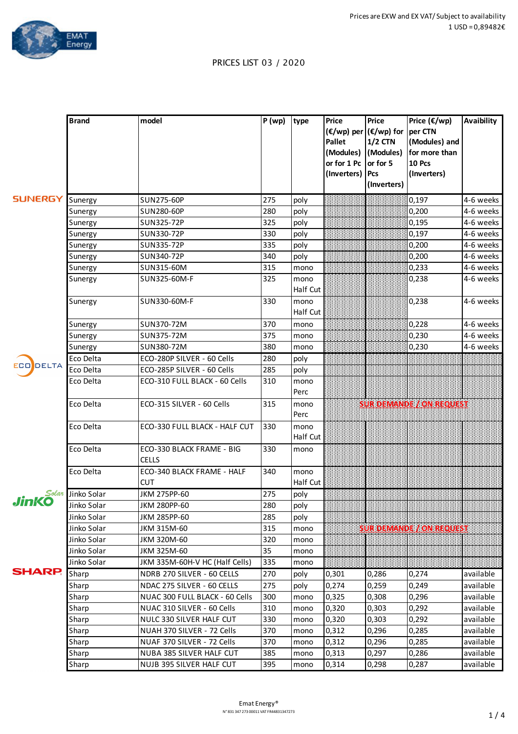

## PRICES LIST 03 / 2020

|                | <b>Brand</b> | model                          | P(wp) | type     | <b>Price</b>           | <b>Price</b>   | Price $(\epsilon/wp)$ | <b>Avaibility</b> |
|----------------|--------------|--------------------------------|-------|----------|------------------------|----------------|-----------------------|-------------------|
|                |              |                                |       |          | (€/wp) per (€/wp) for  |                | per CTN               |                   |
|                |              |                                |       |          | <b>Pallet</b>          | <b>1/2 CTN</b> | (Modules) and         |                   |
|                |              |                                |       |          | (Modules)              | (Modules)      | for more than         |                   |
|                |              |                                |       |          | or for $1$ Pc or for 5 |                | <b>10 Pcs</b>         |                   |
|                |              |                                |       |          | (Inverters) Pcs        |                | (Inverters)           |                   |
|                |              |                                |       |          |                        | (Inverters)    |                       |                   |
| <b>SUNERGY</b> | Sunergy      | <b>SUN275-60P</b>              | 275   | poly     |                        |                | 0,197                 | 4-6 weeks         |
|                | Sunergy      | SUN280-60P                     | 280   | poly     |                        |                | 0,200                 | 4-6 weeks         |
|                | Sunergy      | SUN325-72P                     | 325   | poly     |                        |                | 0,195                 | 4-6 weeks         |
|                | Sunergy      | SUN330-72P                     | 330   | poly     |                        |                | 0,197                 | 4-6 weeks         |
|                | Sunergy      | SUN335-72P                     | 335   | poly     |                        |                | 0,200                 | 4-6 weeks         |
|                | Sunergy      | SUN340-72P                     | 340   | poly     |                        |                | 0,200                 | 4-6 weeks         |
|                | Sunergy      | SUN315-60M                     | 315   | mono     |                        |                | 0,233                 | 4-6 weeks         |
|                | Sunergy      | SUN325-60M-F                   | 325   | mono     |                        |                | 0,238                 | 4-6 weeks         |
|                |              |                                |       | Half Cut |                        |                |                       |                   |
|                | Sunergy      | SUN330-60M-F                   | 330   | mono     |                        |                | 0,238                 | 4-6 weeks         |
|                |              |                                |       | Half Cut |                        |                |                       |                   |
|                | Sunergy      | SUN370-72M                     | 370   | mono     |                        |                | 0,228                 | 4-6 weeks         |
|                | Sunergy      | SUN375-72M                     | 375   | mono     |                        |                | 0,230                 | 4-6 weeks         |
|                | Sunergy      | SUN380-72M                     | 380   | mono     |                        |                | 0,230                 | 4-6 weeks         |
|                | Eco Delta    | ECO-280P SILVER - 60 Cells     | 280   | poly     |                        |                |                       |                   |
| DELTA<br>ECO   | Eco Delta    | ECO-285P SILVER - 60 Cells     | 285   | poly     |                        |                |                       |                   |
|                | Eco Delta    | ECO-310 FULL BLACK - 60 Cells  | 310   | mono     |                        |                |                       |                   |
|                |              |                                |       | Perc     |                        |                |                       |                   |
|                | Eco Delta    | ECO-315 SILVER - 60 Cells      | 315   | mono     |                        |                |                       |                   |
|                |              |                                |       | Perc     |                        |                |                       |                   |
|                | Eco Delta    | ECO-330 FULL BLACK - HALF CUT  | 330   | mono     |                        |                |                       |                   |
|                |              |                                |       | Half Cut |                        |                |                       |                   |
|                | Eco Delta    | ECO-330 BLACK FRAME - BIG      | 330   | mono     |                        |                |                       |                   |
|                |              | <b>CELLS</b>                   |       |          |                        |                |                       |                   |
|                | Eco Delta    | ECO-340 BLACK FRAME - HALF     | 340   | mono     |                        |                |                       |                   |
|                |              | <b>CUT</b>                     |       | Half Cut |                        |                |                       |                   |
| Solar          | Jinko Solar  | JKM 275PP-60                   | 275   | poly     |                        |                |                       |                   |
| JinKO          | Jinko Solar  | JKM 280PP-60                   | 280   | poly     |                        |                |                       |                   |
|                | Jinko Solar  | JKM 285PP-60                   | 285   | poly     |                        |                |                       |                   |
|                | Jinko Solar  | JKM 315M-60                    | 315   | mono     |                        |                |                       |                   |
|                | Jinko Solar  | JKM 320M-60                    | 320   | mono     |                        |                |                       |                   |
|                | Jinko Solar  | JKM 325M-60                    | 35    | mono     |                        |                |                       |                   |
|                | Jinko Solar  | JKM 335M-60H-V HC (Half Cells) | 335   | mono     |                        |                |                       |                   |
| <b>SHARP.</b>  | Sharp        | NDRB 270 SILVER - 60 CELLS     | 270   | poly     | 0,301                  | 0,286          | 0,274                 | available         |
|                | Sharp        | NDAC 275 SILVER - 60 CELLS     | 275   | poly     | 0,274                  | 0,259          | 0,249                 | available         |
|                | Sharp        | NUAC 300 FULL BLACK - 60 Cells | 300   | mono     | 0,325                  | 0,308          | 0,296                 | available         |
|                | Sharp        | NUAC 310 SILVER - 60 Cells     | 310   | mono     | 0,320                  | 0,303          | 0,292                 | available         |
|                | Sharp        | NULC 330 SILVER HALF CUT       | 330   | mono     | 0,320                  | 0,303          | 0,292                 | available         |
|                | Sharp        | NUAH 370 SILVER - 72 Cells     | 370   | mono     | 0,312                  | 0,296          | 0,285                 | available         |
|                | Sharp        | NUAF 370 SILVER - 72 Cells     | 370   | mono     | 0,312                  | 0,296          | 0,285                 | available         |
|                | Sharp        | NUBA 385 SILVER HALF CUT       | 385   | mono     | 0,313                  | 0,297          | 0,286                 | available         |
|                | Sharp        | NUJB 395 SILVER HALF CUT       | 395   | mono     | 0,314                  | 0,298          | 0,287                 | available         |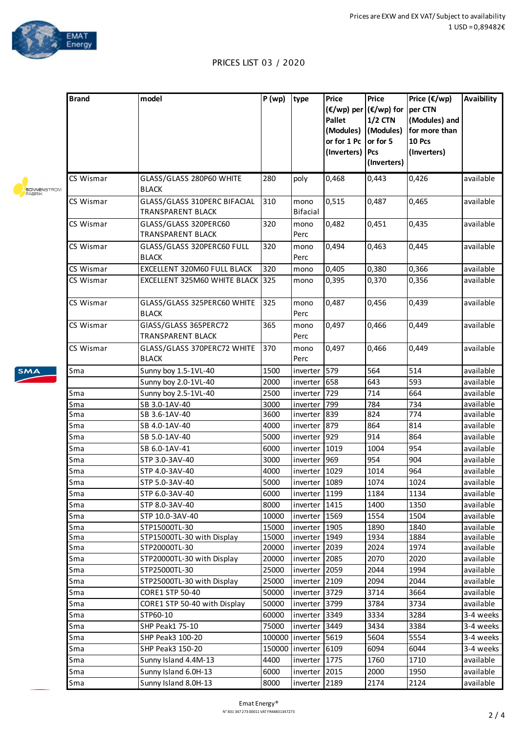

 $\sqrt{2}$ 

## PRICES LIST 03 / 2020

|                                     | <b>Brand</b> | model                                                    | P(wp)  | type                    | Price<br>Pallet<br>(Modules)<br>or for 1 Pc<br>(Inverters) | <b>Price</b><br>(€/wp) per (€/wp) for<br>$1/2$ CTN<br>(Modules)<br>or for 5<br>Pcs<br>(Inverters) | Price $(\epsilon/wp)$<br>per CTN<br>(Modules) and<br>for more than<br>10 Pcs<br>(Inverters) | <b>Avaibility</b> |
|-------------------------------------|--------------|----------------------------------------------------------|--------|-------------------------|------------------------------------------------------------|---------------------------------------------------------------------------------------------------|---------------------------------------------------------------------------------------------|-------------------|
| <b>SONNENSTROM</b><br><b>FABRIK</b> | CS Wismar    | GLASS/GLASS 280P60 WHITE<br><b>BLACK</b>                 | 280    | poly                    | 0,468                                                      | 0,443                                                                                             | 0,426                                                                                       | available         |
|                                     | CS Wismar    | GLASS/GLASS 310PERC BIFACIAL<br><b>TRANSPARENT BLACK</b> | 310    | mono<br><b>Bifacial</b> | 0,515                                                      | 0,487                                                                                             | 0,465                                                                                       | available         |
|                                     | CS Wismar    | GLASS/GLASS 320PERC60<br><b>TRANSPARENT BLACK</b>        | 320    | mono<br>Perc            | 0,482                                                      | 0,451                                                                                             | 0,435                                                                                       | available         |
|                                     | CS Wismar    | GLASS/GLASS 320PERC60 FULL<br><b>BLACK</b>               | 320    | mono<br>Perc            | 0,494                                                      | 0,463                                                                                             | 0,445                                                                                       | available         |
|                                     | CS Wismar    | EXCELLENT 320M60 FULL BLACK                              | 320    | mono                    | 0,405                                                      | 0,380                                                                                             | 0,366                                                                                       | available         |
|                                     | CS Wismar    | EXCELLENT 325M60 WHITE BLACK 325                         |        | mono                    | 0,395                                                      | 0,370                                                                                             | 0,356                                                                                       | available         |
|                                     | CS Wismar    | GLASS/GLASS 325PERC60 WHITE<br><b>BLACK</b>              | 325    | mono<br>Perc            | 0,487                                                      | 0,456                                                                                             | 0,439                                                                                       | available         |
|                                     | CS Wismar    | GIASS/GLASS 365PERC72<br><b>TRANSPARENT BLACK</b>        | 365    | mono<br>Perc            | 0,497                                                      | 0,466                                                                                             | 0,449                                                                                       | available         |
|                                     | CS Wismar    | GLASS/GLASS 370PERC72 WHITE<br><b>BLACK</b>              | 370    | mono<br>Perc            | 0,497                                                      | 0,466                                                                                             | 0,449                                                                                       | available         |
| <b>SMA</b>                          | Sma          | Sunny boy 1.5-1VL-40                                     | 1500   | inverter                | 579                                                        | 564                                                                                               | 514                                                                                         | available         |
|                                     |              | Sunny boy 2.0-1VL-40                                     | 2000   | inverter                | 658                                                        | 643                                                                                               | 593                                                                                         | available         |
|                                     | Sma          | Sunny boy 2.5-1VL-40                                     | 2500   | inverter                | 729                                                        | 714                                                                                               | 664                                                                                         | available         |
|                                     | Sma          | SB 3.0-1AV-40                                            | 3000   | inverter                | 799                                                        | 784                                                                                               | 734                                                                                         | available         |
|                                     | Sma          | SB 3.6-1AV-40                                            | 3600   | inverter                | 839                                                        | 824                                                                                               | 774                                                                                         | available         |
|                                     | Sma          | SB 4.0-1AV-40                                            | 4000   | inverter                | 879                                                        | 864                                                                                               | 814                                                                                         | available         |
|                                     | Sma          | SB 5.0-1AV-40                                            | 5000   | inverter                | 929                                                        | 914                                                                                               | 864                                                                                         | available         |
|                                     | Sma          | SB 6.0-1AV-41                                            | 6000   | inverter                | 1019                                                       | 1004                                                                                              | 954                                                                                         | available         |
|                                     | Sma          | STP 3.0-3AV-40                                           | 3000   | inverter                | 969                                                        | 954                                                                                               | 904                                                                                         | available         |
|                                     | Sma          | STP 4.0-3AV-40                                           | 4000   | inverter 1029           |                                                            | 1014                                                                                              | 964                                                                                         | available         |
|                                     | Sma          | STP 5.0-3AV-40                                           | 5000   | inverter 1089           |                                                            | 1074                                                                                              | 1024                                                                                        | available         |
|                                     | Sma          | STP 6.0-3AV-40                                           | 6000   | inverter 1199           |                                                            | 1184                                                                                              | 1134                                                                                        | available         |
|                                     | Sma          | STP 8.0-3AV-40                                           | 8000   | inverter 1415           |                                                            | 1400                                                                                              | 1350                                                                                        | available         |
|                                     | Sma          | STP 10.0-3AV-40                                          | 10000  | inverter 1569           |                                                            | 1554                                                                                              | 1504                                                                                        | available         |
|                                     | Sma          | STP15000TL-30                                            | 15000  | inverter 1905           |                                                            | 1890                                                                                              | 1840                                                                                        | available         |
|                                     | Sma          | STP15000TL-30 with Display                               | 15000  | inverter 1949           |                                                            | 1934                                                                                              | 1884                                                                                        | available         |
|                                     | Sma          | STP20000TL-30                                            | 20000  | inverter 2039           |                                                            | 2024                                                                                              | 1974                                                                                        | available         |
|                                     | Sma          | STP20000TL-30 with Display                               | 20000  | inverter 2085           |                                                            | 2070                                                                                              | 2020                                                                                        | available         |
|                                     | Sma          | STP25000TL-30                                            | 25000  | inverter 2059           |                                                            | 2044                                                                                              | 1994                                                                                        | available         |
|                                     | Sma          | STP25000TL-30 with Display                               | 25000  | inverter 2109           |                                                            | 2094                                                                                              | 2044                                                                                        | available         |
|                                     | Sma          | CORE1 STP 50-40                                          | 50000  | inverter 3729           |                                                            | 3714                                                                                              | 3664                                                                                        | available         |
|                                     | Sma          | CORE1 STP 50-40 with Display                             | 50000  | inverter 3799           |                                                            | 3784                                                                                              | 3734                                                                                        | available         |
|                                     | Sma          | STP60-10                                                 | 60000  | inverter 3349           |                                                            | 3334                                                                                              | 3284                                                                                        | 3-4 weeks         |
|                                     | Sma          | SHP Peak1 75-10                                          | 75000  | inverter 3449           |                                                            | 3434                                                                                              | 3384                                                                                        | 3-4 weeks         |
|                                     | Sma          | SHP Peak3 100-20                                         | 100000 | inverter                | 5619                                                       | 5604                                                                                              | 5554                                                                                        | 3-4 weeks         |
|                                     | Sma          | SHP Peak3 150-20                                         | 150000 | inverter 6109           |                                                            | 6094                                                                                              | 6044                                                                                        | 3-4 weeks         |
|                                     | Sma          | Sunny Island 4.4M-13                                     | 4400   | inverter 1775           |                                                            | 1760                                                                                              | 1710                                                                                        | available         |
|                                     | Sma          | Sunny Island 6.0H-13                                     | 6000   | inverter 2015           |                                                            | 2000                                                                                              | 1950                                                                                        | available         |
|                                     | Sma          | Sunny Island 8.0H-13                                     | 8000   | inverter 2189           |                                                            | 2174                                                                                              | 2124                                                                                        | available         |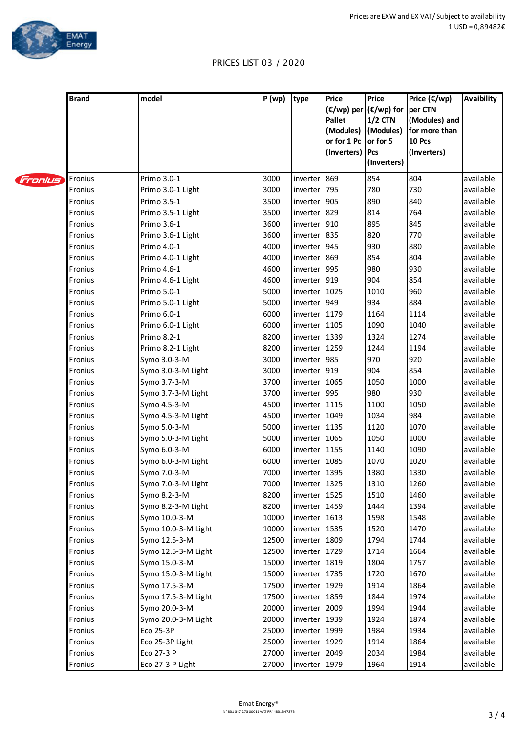

## PRICES LIST 03 / 2020

|         | <b>Brand</b> | model               | P(wp) | type          | <b>Price</b><br>$(\epsilon/wp)$ per $(\epsilon/wp)$ for<br><b>Pallet</b><br>(Modules)<br>or for 1 Pc<br>(Inverters) | <b>Price</b><br>$1/2$ CTN<br>(Modules)<br>or for 5<br>Pcs<br>(Inverters) | Price $(\epsilon/wp)$<br>per CTN<br>(Modules) and<br>for more than<br>10 Pcs<br>(Inverters) | <b>Avaibility</b> |
|---------|--------------|---------------------|-------|---------------|---------------------------------------------------------------------------------------------------------------------|--------------------------------------------------------------------------|---------------------------------------------------------------------------------------------|-------------------|
| Fronius | Fronius      | Primo 3.0-1         | 3000  | inverter 869  |                                                                                                                     | 854                                                                      | 804                                                                                         | available         |
|         | Fronius      | Primo 3.0-1 Light   | 3000  | inverter 795  |                                                                                                                     | 780                                                                      | 730                                                                                         | available         |
|         | Fronius      | Primo 3.5-1         | 3500  | inverter 905  |                                                                                                                     | 890                                                                      | 840                                                                                         | available         |
|         | Fronius      | Primo 3.5-1 Light   | 3500  | inverter 829  |                                                                                                                     | 814                                                                      | 764                                                                                         | available         |
|         | Fronius      | Primo 3.6-1         | 3600  | inverter 910  |                                                                                                                     | 895                                                                      | 845                                                                                         | available         |
|         | Fronius      | Primo 3.6-1 Light   | 3600  | inverter 835  |                                                                                                                     | 820                                                                      | 770                                                                                         | available         |
|         | Fronius      | Primo 4.0-1         | 4000  | inverter 945  |                                                                                                                     | 930                                                                      | 880                                                                                         | available         |
|         | Fronius      | Primo 4.0-1 Light   | 4000  | inverter 869  |                                                                                                                     | 854                                                                      | 804                                                                                         | available         |
|         | Fronius      | Primo 4.6-1         | 4600  | inverter 995  |                                                                                                                     | 980                                                                      | 930                                                                                         | available         |
|         | Fronius      | Primo 4.6-1 Light   | 4600  | inverter 919  |                                                                                                                     | 904                                                                      | 854                                                                                         | available         |
|         | Fronius      | Primo 5.0-1         | 5000  | inverter 1025 |                                                                                                                     | 1010                                                                     | 960                                                                                         | available         |
|         | Fronius      | Primo 5.0-1 Light   | 5000  | inverter 949  |                                                                                                                     | 934                                                                      | 884                                                                                         | available         |
|         | Fronius      | Primo 6.0-1         | 6000  | inverter 1179 |                                                                                                                     | 1164                                                                     | 1114                                                                                        | available         |
|         | Fronius      | Primo 6.0-1 Light   | 6000  | inverter 1105 |                                                                                                                     | 1090                                                                     | 1040                                                                                        | available         |
|         | Fronius      | Primo 8.2-1         | 8200  | inverter 1339 |                                                                                                                     | 1324                                                                     | 1274                                                                                        | available         |
|         | Fronius      | Primo 8.2-1 Light   | 8200  | inverter 1259 |                                                                                                                     | 1244                                                                     | 1194                                                                                        | available         |
|         | Fronius      | Symo 3.0-3-M        | 3000  | inverter 985  |                                                                                                                     | 970                                                                      | 920                                                                                         | available         |
|         | Fronius      | Symo 3.0-3-M Light  | 3000  | inverter 919  |                                                                                                                     | 904                                                                      | 854                                                                                         | available         |
|         | Fronius      | Symo 3.7-3-M        | 3700  | inverter 1065 |                                                                                                                     | 1050                                                                     | 1000                                                                                        | available         |
|         | Fronius      | Symo 3.7-3-M Light  | 3700  | inverter 995  |                                                                                                                     | 980                                                                      | 930                                                                                         | available         |
|         | Fronius      | Symo 4.5-3-M        | 4500  | inverter 1115 |                                                                                                                     | 1100                                                                     | 1050                                                                                        | available         |
|         | Fronius      | Symo 4.5-3-M Light  | 4500  | inverter 1049 |                                                                                                                     | 1034                                                                     | 984                                                                                         | available         |
|         | Fronius      | Symo 5.0-3-M        | 5000  | inverter 1135 |                                                                                                                     | 1120                                                                     | 1070                                                                                        | available         |
|         | Fronius      | Symo 5.0-3-M Light  | 5000  | inverter 1065 |                                                                                                                     | 1050                                                                     | 1000                                                                                        | available         |
|         | Fronius      | Symo 6.0-3-M        | 6000  | inverter 1155 |                                                                                                                     | 1140                                                                     | 1090                                                                                        | available         |
|         | Fronius      | Symo 6.0-3-M Light  | 6000  | inverter 1085 |                                                                                                                     | 1070                                                                     | 1020                                                                                        | available         |
|         | Fronius      | Symo 7.0-3-M        | 7000  | inverter 1395 |                                                                                                                     | 1380                                                                     | 1330                                                                                        | available         |
|         | Fronius      | Symo 7.0-3-M Light  | 7000  | Inverter 1325 |                                                                                                                     | 1310                                                                     | 1260                                                                                        | available         |
|         | Fronius      | Symo 8.2-3-M        | 8200  | inverter 1525 |                                                                                                                     | 1510                                                                     | 1460                                                                                        | available         |
|         | Fronius      | Symo 8.2-3-M Light  | 8200  | inverter 1459 |                                                                                                                     | 1444                                                                     | 1394                                                                                        | available         |
|         | Fronius      | Symo 10.0-3-M       | 10000 | inverter 1613 |                                                                                                                     | 1598                                                                     | 1548                                                                                        | available         |
|         | Fronius      | Symo 10.0-3-M Light | 10000 | inverter 1535 |                                                                                                                     | 1520                                                                     | 1470                                                                                        | available         |
|         | Fronius      | Symo 12.5-3-M       | 12500 | inverter 1809 |                                                                                                                     | 1794                                                                     | 1744                                                                                        | available         |
|         | Fronius      | Symo 12.5-3-M Light | 12500 | inverter 1729 |                                                                                                                     | 1714                                                                     | 1664                                                                                        | available         |
|         | Fronius      | Symo 15.0-3-M       | 15000 | inverter 1819 |                                                                                                                     | 1804                                                                     | 1757                                                                                        | available         |
|         | Fronius      | Symo 15.0-3-M Light | 15000 | inverter 1735 |                                                                                                                     | 1720                                                                     | 1670                                                                                        | available         |
|         | Fronius      | Symo 17.5-3-M       | 17500 | inverter 1929 |                                                                                                                     | 1914                                                                     | 1864                                                                                        | available         |
|         | Fronius      | Symo 17.5-3-M Light | 17500 | inverter 1859 |                                                                                                                     | 1844                                                                     | 1974                                                                                        | available         |
|         | Fronius      | Symo 20.0-3-M       | 20000 | inverter 2009 |                                                                                                                     | 1994                                                                     | 1944                                                                                        | available         |
|         | Fronius      | Symo 20.0-3-M Light | 20000 | inverter 1939 |                                                                                                                     | 1924                                                                     | 1874                                                                                        | available         |
|         | Fronius      | Eco 25-3P           | 25000 | inverter 1999 |                                                                                                                     | 1984                                                                     | 1934                                                                                        | available         |
|         | Fronius      | Eco 25-3P Light     | 25000 | inverter 1929 |                                                                                                                     | 1914                                                                     | 1864                                                                                        | available         |
|         | Fronius      | Eco 27-3 P          | 27000 | inverter 2049 |                                                                                                                     | 2034                                                                     | 1984                                                                                        | available         |
|         | Fronius      | Eco 27-3 P Light    | 27000 | inverter 1979 |                                                                                                                     | 1964                                                                     | 1914                                                                                        | available         |